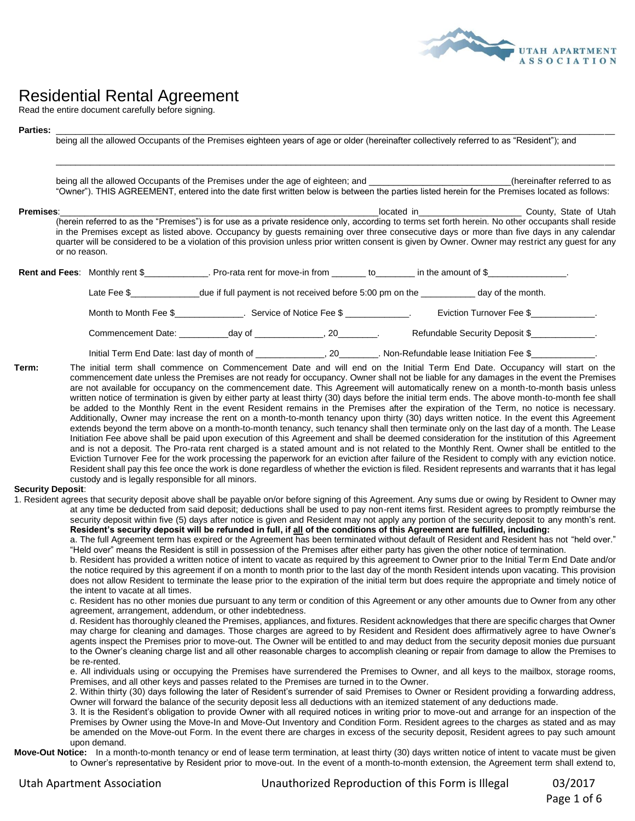

## Residential Rental Agreement

Read the entire document carefully before signing.

## **Parties:** \_\_\_\_\_\_\_\_\_\_\_\_\_\_\_\_\_\_\_\_\_\_\_\_\_\_\_\_\_\_\_\_\_\_\_\_\_\_\_\_\_\_\_\_\_\_\_\_\_\_\_\_\_\_\_\_\_\_\_\_\_\_\_\_\_\_\_\_\_\_\_\_\_\_\_\_\_\_\_\_\_\_\_\_\_\_\_\_\_\_\_\_\_\_\_\_\_\_\_\_\_\_\_\_\_\_\_\_\_\_\_\_\_\_

being all the allowed Occupants of the Premises eighteen years of age or older (hereinafter collectively referred to as "Resident"); and

being all the allowed Occupants of the Premises under the age of eighteen; and \_\_\_\_\_\_\_\_\_\_\_\_\_\_\_\_\_\_\_\_\_\_\_\_\_\_\_(hereinafter referred to as "Owner"). THIS AGREEMENT, entered into the date first written below is between the parties listed herein for the Premises located as follows:

\_\_\_\_\_\_\_\_\_\_\_\_\_\_\_\_\_\_\_\_\_\_\_\_\_\_\_\_\_\_\_\_\_\_\_\_\_\_\_\_\_\_\_\_\_\_\_\_\_\_\_\_\_\_\_\_\_\_\_\_\_\_\_\_\_\_\_\_\_\_\_\_\_\_\_\_\_\_\_\_\_\_\_\_\_\_\_\_\_\_\_\_\_\_\_\_\_\_\_\_\_\_\_\_\_\_\_\_\_\_\_\_\_\_

**Premises**: County, State of Utah (herein referred to as the "Premises") is for use as a private residence only, according to terms set forth herein. No other occupants shall reside in the Premises except as listed above. Occupancy by guests remaining over three consecutive days or more than five days in any calendar quarter will be considered to be a violation of this provision unless prior written consent is given by Owner. Owner may restrict any guest for any or no reason.

Rent and Fees: Monthly rent \$\_\_\_\_\_\_\_\_\_\_\_\_\_. Pro-rata rent for move-in from \_\_\_\_\_\_\_ to\_\_\_\_\_\_\_\_ in the amount of \$\_\_

Late Fee \$\_\_\_\_\_\_\_\_\_\_\_\_\_\_\_\_due if full payment is not received before 5:00 pm on the \_\_\_\_\_\_\_\_\_\_ day of the month.

Month to Month Fee \$\_\_\_\_\_\_\_\_\_\_\_\_\_\_. Service of Notice Fee \$ \_\_\_\_\_\_\_\_\_\_\_\_. Eviction Turnover Fee \$\_\_\_\_\_\_\_\_\_\_\_\_\_

Commencement Date:  $\begin{array}{ccc}\n\text{day of} \\
\text{day 0f}\n\end{array}$  . 20  $\begin{array}{ccc}\n\text{Refundable Security Deposit $}\n\end{array}$ 

Initial Term End Date: last day of month of \_\_\_\_\_\_\_\_\_\_\_\_\_\_\_, 20\_\_\_\_\_\_\_\_. Non-Refundable lease Initiation Fee \$\_\_

**Term:** The initial term shall commence on Commencement Date and will end on the Initial Term End Date. Occupancy will start on the commencement date unless the Premises are not ready for occupancy. Owner shall not be liable for any damages in the event the Premises are not available for occupancy on the commencement date. This Agreement will automatically renew on a month-to-month basis unless written notice of termination is given by either party at least thirty (30) days before the initial term ends. The above month-to-month fee shall be added to the Monthly Rent in the event Resident remains in the Premises after the expiration of the Term, no notice is necessary. Additionally, Owner may increase the rent on a month-to-month tenancy upon thirty (30) days written notice. In the event this Agreement extends beyond the term above on a month-to-month tenancy, such tenancy shall then terminate only on the last day of a month. The Lease Initiation Fee above shall be paid upon execution of this Agreement and shall be deemed consideration for the institution of this Agreement and is not a deposit. The Pro-rata rent charged is a stated amount and is not related to the Monthly Rent. Owner shall be entitled to the Eviction Turnover Fee for the work processing the paperwork for an eviction after failure of the Resident to comply with any eviction notice. Resident shall pay this fee once the work is done regardless of whether the eviction is filed. Resident represents and warrants that it has legal custody and is legally responsible for all minors.

## **Security Deposit**:

1. Resident agrees that security deposit above shall be payable on/or before signing of this Agreement. Any sums due or owing by Resident to Owner may at any time be deducted from said deposit; deductions shall be used to pay non-rent items first. Resident agrees to promptly reimburse the security deposit within five (5) days after notice is given and Resident may not apply any portion of the security deposit to any month's rent. **Resident's security deposit will be refunded in full, if all of the conditions of this Agreement are fulfilled, including:**

a. The full Agreement term has expired or the Agreement has been terminated without default of Resident and Resident has not "held over." "Held over" means the Resident is still in possession of the Premises after either party has given the other notice of termination.

b. Resident has provided a written notice of intent to vacate as required by this agreement to Owner prior to the Initial Term End Date and/or the notice required by this agreement if on a month to month prior to the last day of the month Resident intends upon vacating. This provision does not allow Resident to terminate the lease prior to the expiration of the initial term but does require the appropriate and timely notice of the intent to vacate at all times.

c. Resident has no other monies due pursuant to any term or condition of this Agreement or any other amounts due to Owner from any other agreement, arrangement, addendum, or other indebtedness.

d. Resident has thoroughly cleaned the Premises, appliances, and fixtures. Resident acknowledges that there are specific charges that Owner may charge for cleaning and damages. Those charges are agreed to by Resident and Resident does affirmatively agree to have Owner's agents inspect the Premises prior to move-out. The Owner will be entitled to and may deduct from the security deposit monies due pursuant to the Owner's cleaning charge list and all other reasonable charges to accomplish cleaning or repair from damage to allow the Premises to be re-rented.

e. All individuals using or occupying the Premises have surrendered the Premises to Owner, and all keys to the mailbox, storage rooms, Premises, and all other keys and passes related to the Premises are turned in to the Owner.

2. Within thirty (30) days following the later of Resident's surrender of said Premises to Owner or Resident providing a forwarding address, Owner will forward the balance of the security deposit less all deductions with an itemized statement of any deductions made.

3. It is the Resident's obligation to provide Owner with all required notices in writing prior to move-out and arrange for an inspection of the Premises by Owner using the Move-In and Move-Out Inventory and Condition Form. Resident agrees to the charges as stated and as may be amended on the Move-out Form. In the event there are charges in excess of the security deposit, Resident agrees to pay such amount upon demand.

Move-Out Notice: In a month-to-month tenancy or end of lease term termination, at least thirty (30) days written notice of intent to vacate must be given to Owner's representative by Resident prior to move-out. In the event of a month-to-month extension, the Agreement term shall extend to,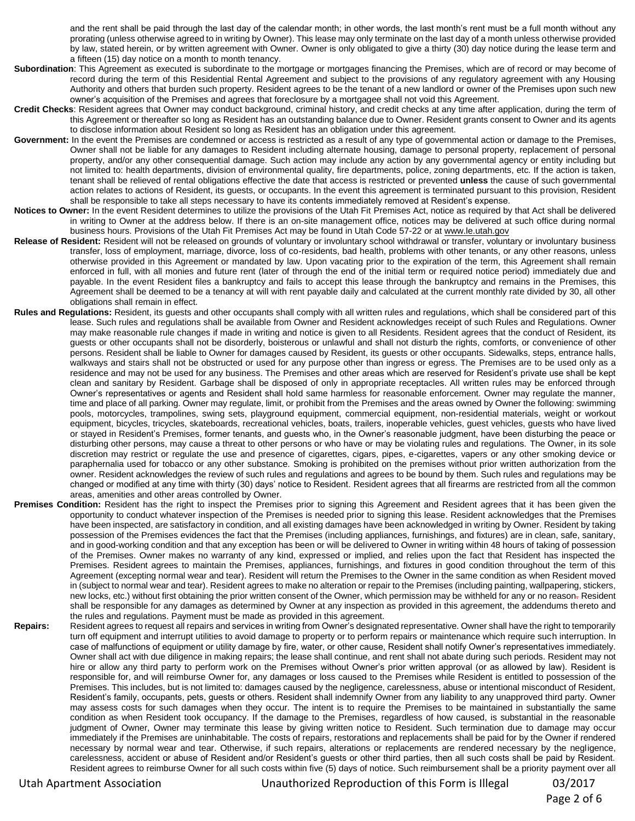and the rent shall be paid through the last day of the calendar month; in other words, the last month's rent must be a full month without any prorating (unless otherwise agreed to in writing by Owner). This lease may only terminate on the last day of a month unless otherwise provided by law, stated herein, or by written agreement with Owner. Owner is only obligated to give a thirty (30) day notice during the lease term and a fifteen (15) day notice on a month to month tenancy.

- **Subordination**: This Agreement as executed is subordinate to the mortgage or mortgages financing the Premises, which are of record or may become of record during the term of this Residential Rental Agreement and subject to the provisions of any regulatory agreement with any Housing Authority and others that burden such property. Resident agrees to be the tenant of a new landlord or owner of the Premises upon such new owner's acquisition of the Premises and agrees that foreclosure by a mortgagee shall not void this Agreement.
- **Credit Checks**: Resident agrees that Owner may conduct background, criminal history, and credit checks at any time after application, during the term of this Agreement or thereafter so long as Resident has an outstanding balance due to Owner. Resident grants consent to Owner and its agents to disclose information about Resident so long as Resident has an obligation under this agreement.
- Government: In the event the Premises are condemned or access is restricted as a result of any type of governmental action or damage to the Premises, Owner shall not be liable for any damages to Resident including alternate housing, damage to personal property, replacement of personal property, and/or any other consequential damage. Such action may include any action by any governmental agency or entity including but not limited to: health departments, division of environmental quality, fire departments, police, zoning departments, etc. If the action is taken, tenant shall be relieved of rental obligations effective the date that access is restricted or prevented **unless** the cause of such governmental action relates to actions of Resident, its guests, or occupants. In the event this agreement is terminated pursuant to this provision, Resident shall be responsible to take all steps necessary to have its contents immediately removed at Resident's expense.
- Notices to Owner: In the event Resident determines to utilize the provisions of the Utah Fit Premises Act, notice as required by that Act shall be delivered in writing to Owner at the address below. If there is an on-site management office, notices may be delivered at such office during normal business hours. Provisions of the Utah Fit Premises Act may be found in Utah Code 57-22 or at www.le.utah.gov
- **Release of Resident:** Resident will not be released on grounds of voluntary or involuntary school withdrawal or transfer, voluntary or involuntary business transfer, loss of employment, marriage, divorce, loss of co-residents, bad health, problems with other tenants, or any other reasons, unless otherwise provided in this Agreement or mandated by law. Upon vacating prior to the expiration of the term, this Agreement shall remain enforced in full, with all monies and future rent (later of through the end of the initial term or required notice period) immediately due and payable. In the event Resident files a bankruptcy and fails to accept this lease through the bankruptcy and remains in the Premises, this Agreement shall be deemed to be a tenancy at will with rent payable daily and calculated at the current monthly rate divided by 30, all other obligations shall remain in effect.
- **Rules and Regulations:** Resident, its guests and other occupants shall comply with all written rules and regulations, which shall be considered part of this lease. Such rules and regulations shall be available from Owner and Resident acknowledges receipt of such Rules and Regulations. Owner may make reasonable rule changes if made in writing and notice is given to all Residents. Resident agrees that the conduct of Resident, its guests or other occupants shall not be disorderly, boisterous or unlawful and shall not disturb the rights, comforts, or convenience of other persons. Resident shall be liable to Owner for damages caused by Resident, its guests or other occupants. Sidewalks, steps, entrance halls, walkways and stairs shall not be obstructed or used for any purpose other than ingress or egress. The Premises are to be used only as a residence and may not be used for any business. The Premises and other areas which are reserved for Resident's private use shall be kept clean and sanitary by Resident. Garbage shall be disposed of only in appropriate receptacles. All written rules may be enforced through Owner's representatives or agents and Resident shall hold same harmless for reasonable enforcement. Owner may regulate the manner, time and place of all parking. Owner may regulate, limit, or prohibit from the Premises and the areas owned by Owner the following: swimming pools, motorcycles, trampolines, swing sets, playground equipment, commercial equipment, non-residential materials, weight or workout equipment, bicycles, tricycles, skateboards, recreational vehicles, boats, trailers, inoperable vehicles, guest vehicles, guests who have lived or stayed in Resident's Premises, former tenants, and guests who, in the Owner's reasonable judgment, have been disturbing the peace or disturbing other persons, may cause a threat to other persons or who have or may be violating rules and regulations. The Owner, in its sole discretion may restrict or regulate the use and presence of cigarettes, cigars, pipes, e-cigarettes, vapers or any other smoking device or paraphernalia used for tobacco or any other substance. Smoking is prohibited on the premises without prior written authorization from the owner. Resident acknowledges the review of such rules and regulations and agrees to be bound by them. Such rules and regulations may be changed or modified at any time with thirty (30) days' notice to Resident. Resident agrees that all firearms are restricted from all the common areas, amenities and other areas controlled by Owner.
- **Premises Condition:** Resident has the right to inspect the Premises prior to signing this Agreement and Resident agrees that it has been given the opportunity to conduct whatever inspection of the Premises is needed prior to signing this lease. Resident acknowledges that the Premises have been inspected, are satisfactory in condition, and all existing damages have been acknowledged in writing by Owner. Resident by taking possession of the Premises evidences the fact that the Premises (including appliances, furnishings, and fixtures) are in clean, safe, sanitary, and in good-working condition and that any exception has been or will be delivered to Owner in writing within 48 hours of taking of possession of the Premises. Owner makes no warranty of any kind, expressed or implied, and relies upon the fact that Resident has inspected the Premises. Resident agrees to maintain the Premises, appliances, furnishings, and fixtures in good condition throughout the term of this Agreement (excepting normal wear and tear). Resident will return the Premises to the Owner in the same condition as when Resident moved in (subject to normal wear and tear). Resident agrees to make no alteration or repair to the Premises (including painting, wallpapering, stickers, new locks, etc.) without first obtaining the prior written consent of the Owner, which permission may be withheld for any or no reason- Resident shall be responsible for any damages as determined by Owner at any inspection as provided in this agreement, the addendums thereto and the rules and regulations. Payment must be made as provided in this agreement.
- **Repairs:** Resident agrees to request all repairs and services in writing from Owner's designated representative. Owner shall have the right to temporarily turn off equipment and interrupt utilities to avoid damage to property or to perform repairs or maintenance which require such interruption. In case of malfunctions of equipment or utility damage by fire, water, or other cause, Resident shall notify Owner's representatives immediately. Owner shall act with due diligence in making repairs; the lease shall continue, and rent shall not abate during such periods. Resident may not hire or allow any third party to perform work on the Premises without Owner's prior written approval (or as allowed by law). Resident is responsible for, and will reimburse Owner for, any damages or loss caused to the Premises while Resident is entitled to possession of the Premises. This includes, but is not limited to: damages caused by the negligence, carelessness, abuse or intentional misconduct of Resident, Resident's family, occupants, pets, guests or others. Resident shall indemnify Owner from any liability to any unapproved third party. Owner may assess costs for such damages when they occur. The intent is to require the Premises to be maintained in substantially the same condition as when Resident took occupancy. If the damage to the Premises, regardless of how caused, is substantial in the reasonable judgment of Owner, Owner may terminate this lease by giving written notice to Resident. Such termination due to damage may occur immediately if the Premises are uninhabitable. The costs of repairs, restorations and replacements shall be paid for by the Owner if rendered necessary by normal wear and tear. Otherwise, if such repairs, alterations or replacements are rendered necessary by the negligence, carelessness, accident or abuse of Resident and/or Resident's guests or other third parties, then all such costs shall be paid by Resident. Resident agrees to reimburse Owner for all such costs within five (5) days of notice. Such reimbursement shall be a priority payment over all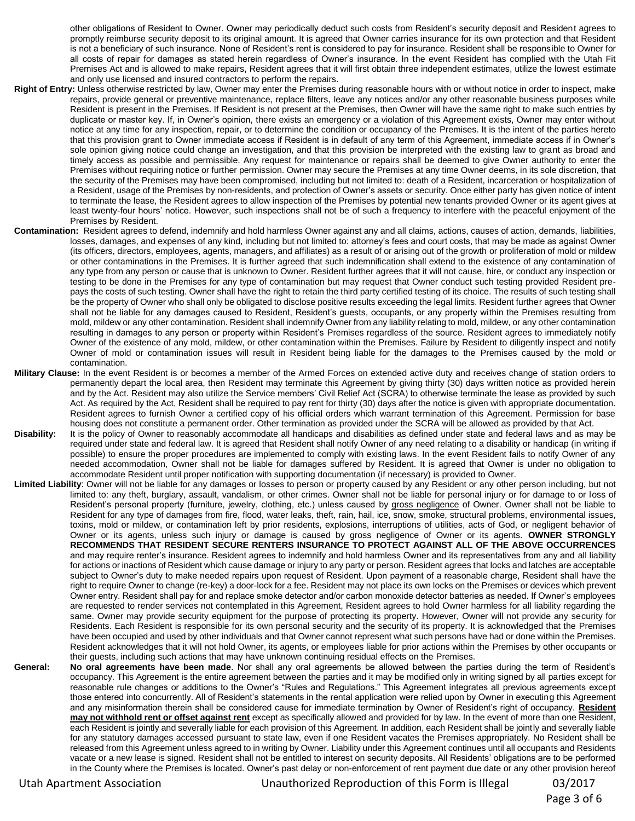other obligations of Resident to Owner. Owner may periodically deduct such costs from Resident's security deposit and Resident agrees to promptly reimburse security deposit to its original amount. It is agreed that Owner carries insurance for its own protection and that Resident is not a beneficiary of such insurance. None of Resident's rent is considered to pay for insurance. Resident shall be responsible to Owner for all costs of repair for damages as stated herein regardless of Owner's insurance. In the event Resident has complied with the Utah Fit Premises Act and is allowed to make repairs, Resident agrees that it will first obtain three independent estimates, utilize the lowest estimate and only use licensed and insured contractors to perform the repairs.

- **Right of Entry:** Unless otherwise restricted by law, Owner may enter the Premises during reasonable hours with or without notice in order to inspect, make repairs, provide general or preventive maintenance, replace filters, leave any notices and/or any other reasonable business purposes while Resident is present in the Premises. If Resident is not present at the Premises, then Owner will have the same right to make such entries by duplicate or master key. If, in Owner's opinion, there exists an emergency or a violation of this Agreement exists, Owner may enter without notice at any time for any inspection, repair, or to determine the condition or occupancy of the Premises. It is the intent of the parties hereto that this provision grant to Owner immediate access if Resident is in default of any term of this Agreement, immediate access if in Owner's sole opinion giving notice could change an investigation, and that this provision be interpreted with the existing law to grant as broad and timely access as possible and permissible. Any request for maintenance or repairs shall be deemed to give Owner authority to enter the Premises without requiring notice or further permission. Owner may secure the Premises at any time Owner deems, in its sole discretion, that the security of the Premises may have been compromised, including but not limited to: death of a Resident, incarceration or hospitalization of a Resident, usage of the Premises by non-residents, and protection of Owner's assets or security. Once either party has given notice of intent to terminate the lease, the Resident agrees to allow inspection of the Premises by potential new tenants provided Owner or its agent gives at least twenty-four hours' notice. However, such inspections shall not be of such a frequency to interfere with the peaceful enjoyment of the Premises by Resident.
- **Contamination:** Resident agrees to defend, indemnify and hold harmless Owner against any and all claims, actions, causes of action, demands, liabilities, losses, damages, and expenses of any kind, including but not limited to: attorney's fees and court costs, that may be made as against Owner (its officers, directors, employees, agents, managers, and affiliates) as a result of or arising out of the growth or proliferation of mold or mildew or other contaminations in the Premises. It is further agreed that such indemnification shall extend to the existence of any contamination of any type from any person or cause that is unknown to Owner. Resident further agrees that it will not cause, hire, or conduct any inspection or testing to be done in the Premises for any type of contamination but may request that Owner conduct such testing provided Resident prepays the costs of such testing. Owner shall have the right to retain the third party certified testing of its choice. The results of such testing shall be the property of Owner who shall only be obligated to disclose positive results exceeding the legal limits. Resident further agrees that Owner shall not be liable for any damages caused to Resident, Resident's guests, occupants, or any property within the Premises resulting from mold, mildew or any other contamination. Resident shall indemnify Owner from any liability relating to mold, mildew, or any other contamination resulting in damages to any person or property within Resident's Premises regardless of the source. Resident agrees to immediately notify Owner of the existence of any mold, mildew, or other contamination within the Premises. Failure by Resident to diligently inspect and notify Owner of mold or contamination issues will result in Resident being liable for the damages to the Premises caused by the mold or contamination.
- **Military Clause:** In the event Resident is or becomes a member of the Armed Forces on extended active duty and receives change of station orders to permanently depart the local area, then Resident may terminate this Agreement by giving thirty (30) days written notice as provided herein and by the Act. Resident may also utilize the Service members' Civil Relief Act (SCRA) to otherwise terminate the lease as provided by such Act. As required by the Act, Resident shall be required to pay rent for thirty (30) days after the notice is given with appropriate documentation. Resident agrees to furnish Owner a certified copy of his official orders which warrant termination of this Agreement. Permission for base housing does not constitute a permanent order. Other termination as provided under the SCRA will be allowed as provided by that Act.
- **Disability:** It is the policy of Owner to reasonably accommodate all handicaps and disabilities as defined under state and federal laws and as may be required under state and federal law. It is agreed that Resident shall notify Owner of any need relating to a disability or handicap (in writing if possible) to ensure the proper procedures are implemented to comply with existing laws. In the event Resident fails to notify Owner of any needed accommodation, Owner shall not be liable for damages suffered by Resident. It is agreed that Owner is under no obligation to accommodate Resident until proper notification with supporting documentation (if necessary) is provided to Owner.
- **Limited Liability**: Owner will not be liable for any damages or losses to person or property caused by any Resident or any other person including, but not limited to: any theft, burglary, assault, vandalism, or other crimes. Owner shall not be liable for personal injury or for damage to or loss of Resident's personal property (furniture, jewelry, clothing, etc.) unless caused by gross negligence of Owner. Owner shall not be liable to Resident for any type of damages from fire, flood, water leaks, theft, rain, hail, ice, snow, smoke, structural problems, environmental issues, toxins, mold or mildew, or contamination left by prior residents, explosions, interruptions of utilities, acts of God, or negligent behavior of Owner or its agents, unless such injury or damage is caused by gross negligence of Owner or its agents. **OWNER STRONGLY RECOMMENDS THAT RESIDENT SECURE RENTERS INSURANCE TO PROTECT AGAINST ALL OF THE ABOVE OCCURRENCES** and may require renter's insurance. Resident agrees to indemnify and hold harmless Owner and its representatives from any and all liability for actions or inactions of Resident which cause damage or injury to any party or person. Resident agrees that locks and latches are acceptable subject to Owner's duty to make needed repairs upon request of Resident. Upon payment of a reasonable charge, Resident shall have the right to require Owner to change (re-key) a door-lock for a fee. Resident may not place its own locks on the Premises or devices which prevent Owner entry. Resident shall pay for and replace smoke detector and/or carbon monoxide detector batteries as needed. If Owner's employees are requested to render services not contemplated in this Agreement, Resident agrees to hold Owner harmless for all liability regarding the same. Owner may provide security equipment for the purpose of protecting its property. However, Owner will not provide any security for Residents. Each Resident is responsible for its own personal security and the security of its property. It is acknowledged that the Premises have been occupied and used by other individuals and that Owner cannot represent what such persons have had or done within the Premises. Resident acknowledges that it will not hold Owner, its agents, or employees liable for prior actions within the Premises by other occupants or their guests, including such actions that may have unknown continuing residual effects on the Premises.
- **General: No oral agreements have been made**. Nor shall any oral agreements be allowed between the parties during the term of Resident's occupancy. This Agreement is the entire agreement between the parties and it may be modified only in writing signed by all parties except for reasonable rule changes or additions to the Owner's "Rules and Regulations." This Agreement integrates all previous agreements except those entered into concurrently. All of Resident's statements in the rental application were relied upon by Owner in executing this Agreement and any misinformation therein shall be considered cause for immediate termination by Owner of Resident's right of occupancy. **Resident may not withhold rent or offset against rent** except as specifically allowed and provided for by law. In the event of more than one Resident, each Resident is jointly and severally liable for each provision of this Agreement. In addition, each Resident shall be jointly and severally liable for any statutory damages accessed pursuant to state law, even if one Resident vacates the Premises appropriately. No Resident shall be released from this Agreement unless agreed to in writing by Owner. Liability under this Agreement continues until all occupants and Residents vacate or a new lease is signed. Resident shall not be entitled to interest on security deposits. All Residents' obligations are to be performed in the County where the Premises is located. Owner's past delay or non-enforcement of rent payment due date or any other provision hereof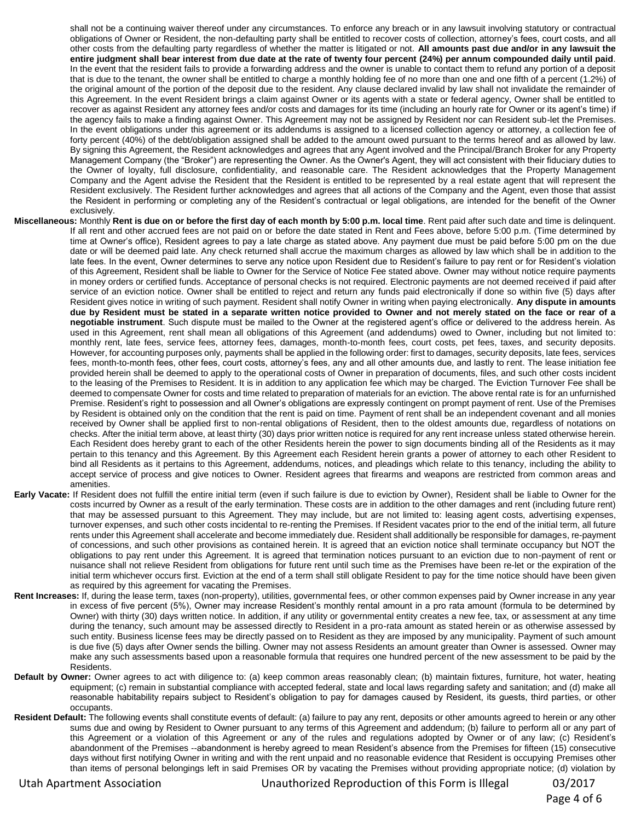shall not be a continuing waiver thereof under any circumstances. To enforce any breach or in any lawsuit involving statutory or contractual obligations of Owner or Resident, the non-defaulting party shall be entitled to recover costs of collection, attorney's fees, court costs, and all other costs from the defaulting party regardless of whether the matter is litigated or not. **All amounts past due and/or in any lawsuit the entire judgment shall bear interest from due date at the rate of twenty four percent (24%) per annum compounded daily until paid**. In the event that the resident fails to provide a forwarding address and the owner is unable to contact them to refund any portion of a deposit that is due to the tenant, the owner shall be entitled to charge a monthly holding fee of no more than one and one fifth of a percent (1.2%) of the original amount of the portion of the deposit due to the resident. Any clause declared invalid by law shall not invalidate the remainder of this Agreement. In the event Resident brings a claim against Owner or its agents with a state or federal agency, Owner shall be entitled to recover as against Resident any attorney fees and/or costs and damages for its time (including an hourly rate for Owner or its agent's time) if the agency fails to make a finding against Owner. This Agreement may not be assigned by Resident nor can Resident sub-let the Premises. In the event obligations under this agreement or its addendums is assigned to a licensed collection agency or attorney, a collection fee of forty percent (40%) of the debt/obligation assigned shall be added to the amount owed pursuant to the terms hereof and as allowed by law. By signing this Agreement, the Resident acknowledges and agrees that any Agent involved and the Principal/Branch Broker for any Property Management Company (the "Broker") are representing the Owner. As the Owner's Agent, they will act consistent with their fiduciary duties to the Owner of loyalty, full disclosure, confidentiality, and reasonable care. The Resident acknowledges that the Property Management Company and the Agent advise the Resident that the Resident is entitled to be represented by a real estate agent that will represent the Resident exclusively. The Resident further acknowledges and agrees that all actions of the Company and the Agent, even those that assist the Resident in performing or completing any of the Resident's contractual or legal obligations, are intended for the benefit of the Owner exclusively.

- **Miscellaneous:** Monthly **Rent is due on or before the first day of each month by 5:00 p.m. local time**. Rent paid after such date and time is delinquent. If all rent and other accrued fees are not paid on or before the date stated in Rent and Fees above, before 5:00 p.m. (Time determined by time at Owner's office), Resident agrees to pay a late charge as stated above. Any payment due must be paid before 5:00 pm on the due date or will be deemed paid late. Any check returned shall accrue the maximum charges as allowed by law which shall be in addition to the late fees. In the event, Owner determines to serve any notice upon Resident due to Resident's failure to pay rent or for Resident's violation of this Agreement, Resident shall be liable to Owner for the Service of Notice Fee stated above. Owner may without notice require payments in money orders or certified funds. Acceptance of personal checks is not required. Electronic payments are not deemed received if paid after service of an eviction notice. Owner shall be entitled to reject and return any funds paid electronically if done so within five (5) days after Resident gives notice in writing of such payment. Resident shall notify Owner in writing when paying electronically. **Any dispute in amounts due by Resident must be stated in a separate written notice provided to Owner and not merely stated on the face or rear of a negotiable instrument**. Such dispute must be mailed to the Owner at the registered agent's office or delivered to the address herein. As used in this Agreement, rent shall mean all obligations of this Agreement (and addendums) owed to Owner, including but not limited to: monthly rent, late fees, service fees, attorney fees, damages, month-to-month fees, court costs, pet fees, taxes, and security deposits. However, for accounting purposes only, payments shall be applied in the following order: first to damages, security deposits, late fees, services fees, month-to-month fees, other fees, court costs, attorney's fees, any and all other amounts due, and lastly to rent. The lease initiation fee provided herein shall be deemed to apply to the operational costs of Owner in preparation of documents, files, and such other costs incident to the leasing of the Premises to Resident. It is in addition to any application fee which may be charged. The Eviction Turnover Fee shall be deemed to compensate Owner for costs and time related to preparation of materials for an eviction. The above rental rate is for an unfurnished Premise. Resident's right to possession and all Owner's obligations are expressly contingent on prompt payment of rent. Use of the Premises by Resident is obtained only on the condition that the rent is paid on time. Payment of rent shall be an independent covenant and all monies received by Owner shall be applied first to non-rental obligations of Resident, then to the oldest amounts due, regardless of notations on checks. After the initial term above, at least thirty (30) days prior written notice is required for any rent increase unless stated otherwise herein. Each Resident does hereby grant to each of the other Residents herein the power to sign documents binding all of the Residents as it may pertain to this tenancy and this Agreement. By this Agreement each Resident herein grants a power of attorney to each other Resident to bind all Residents as it pertains to this Agreement, addendums, notices, and pleadings which relate to this tenancy, including the ability to accept service of process and give notices to Owner. Resident agrees that firearms and weapons are restricted from common areas and amenities.
- **Early Vacate:** If Resident does not fulfill the entire initial term (even if such failure is due to eviction by Owner), Resident shall be liable to Owner for the costs incurred by Owner as a result of the early termination. These costs are in addition to the other damages and rent (including future rent) that may be assessed pursuant to this Agreement. They may include, but are not limited to: leasing agent costs, advertising expenses, turnover expenses, and such other costs incidental to re-renting the Premises. If Resident vacates prior to the end of the initial term, all future rents under this Agreement shall accelerate and become immediately due. Resident shall additionally be responsible for damages, re-payment of concessions, and such other provisions as contained herein. It is agreed that an eviction notice shall terminate occupancy but NOT the obligations to pay rent under this Agreement. It is agreed that termination notices pursuant to an eviction due to non-payment of rent or nuisance shall not relieve Resident from obligations for future rent until such time as the Premises have been re-let or the expiration of the initial term whichever occurs first. Eviction at the end of a term shall still obligate Resident to pay for the time notice should have been given as required by this agreement for vacating the Premises.
- Rent Increases: If, during the lease term, taxes (non-property), utilities, governmental fees, or other common expenses paid by Owner increase in any year in excess of five percent (5%), Owner may increase Resident's monthly rental amount in a pro rata amount (formula to be determined by Owner) with thirty (30) days written notice. In addition, if any utility or governmental entity creates a new fee, tax, or assessment at any time during the tenancy, such amount may be assessed directly to Resident in a pro-rata amount as stated herein or as otherwise assessed by such entity. Business license fees may be directly passed on to Resident as they are imposed by any municipality. Payment of such amount is due five (5) days after Owner sends the billing. Owner may not assess Residents an amount greater than Owner is assessed. Owner may make any such assessments based upon a reasonable formula that requires one hundred percent of the new assessment to be paid by the Residents.
- **Default by Owner:** Owner agrees to act with diligence to: (a) keep common areas reasonably clean; (b) maintain fixtures, furniture, hot water, heating equipment; (c) remain in substantial compliance with accepted federal, state and local laws regarding safety and sanitation; and (d) make all reasonable habitability repairs subject to Resident's obligation to pay for damages caused by Resident, its guests, third parties, or other occupants.
- Resident Default: The following events shall constitute events of default: (a) failure to pay any rent, deposits or other amounts agreed to herein or any other sums due and owing by Resident to Owner pursuant to any terms of this Agreement and addendum; (b) failure to perform all or any part of this Agreement or a violation of this Agreement or any of the rules and regulations adopted by Owner or of any law; (c) Resident's abandonment of the Premises --abandonment is hereby agreed to mean Resident's absence from the Premises for fifteen (15) consecutive days without first notifying Owner in writing and with the rent unpaid and no reasonable evidence that Resident is occupying Premises other than items of personal belongings left in said Premises OR by vacating the Premises without providing appropriate notice; (d) violation by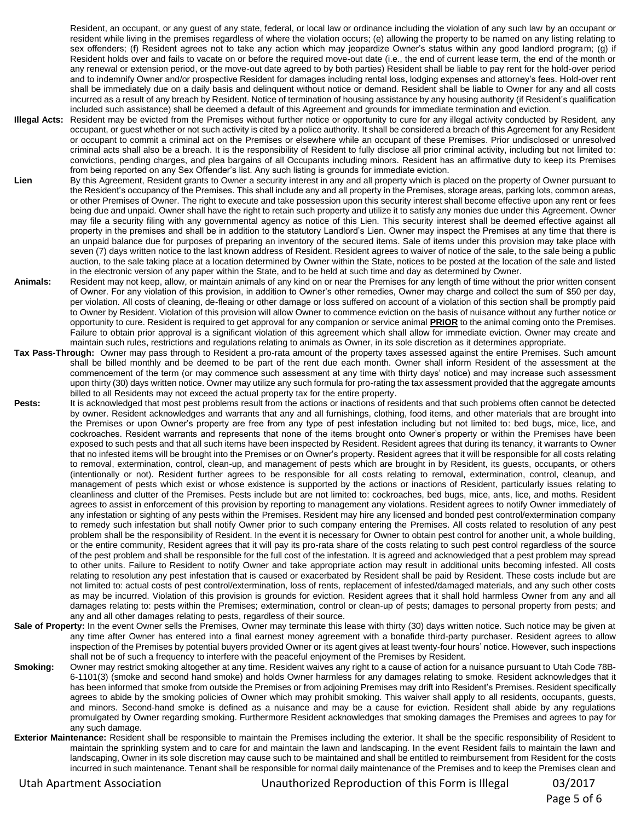Resident, an occupant, or any guest of any state, federal, or local law or ordinance including the violation of any such law by an occupant or resident while living in the premises regardless of where the violation occurs; (e) allowing the property to be named on any listing relating to sex offenders; (f) Resident agrees not to take any action which may jeopardize Owner's status within any good landlord program; (g) if Resident holds over and fails to vacate on or before the required move-out date (i.e., the end of current lease term, the end of the month or any renewal or extension period, or the move-out date agreed to by both parties) Resident shall be liable to pay rent for the hold-over period and to indemnify Owner and/or prospective Resident for damages including rental loss, lodging expenses and attorney's fees. Hold-over rent shall be immediately due on a daily basis and delinquent without notice or demand. Resident shall be liable to Owner for any and all costs incurred as a result of any breach by Resident. Notice of termination of housing assistance by any housing authority (if Resident's qualification included such assistance) shall be deemed a default of this Agreement and grounds for immediate termination and eviction.

- **Illegal Acts:** Resident may be evicted from the Premises without further notice or opportunity to cure for any illegal activity conducted by Resident, any occupant, or guest whether or not such activity is cited by a police authority. It shall be considered a breach of this Agreement for any Resident or occupant to commit a criminal act on the Premises or elsewhere while an occupant of these Premises. Prior undisclosed or unresolved criminal acts shall also be a breach. It is the responsibility of Resident to fully disclose all prior criminal activity, including but not limited to: convictions, pending charges, and plea bargains of all Occupants including minors. Resident has an affirmative duty to keep its Premises from being reported on any Sex Offender's list. Any such listing is grounds for immediate eviction.
- Lien By this Agreement, Resident grants to Owner a security interest in any and all property which is placed on the property of Owner pursuant to the Resident's occupancy of the Premises. This shall include any and all property in the Premises, storage areas, parking lots, common areas, or other Premises of Owner. The right to execute and take possession upon this security interest shall become effective upon any rent or fees being due and unpaid. Owner shall have the right to retain such property and utilize it to satisfy any monies due under this Agreement. Owner may file a security filing with any governmental agency as notice of this Lien. This security interest shall be deemed effective against all property in the premises and shall be in addition to the statutory Landlord's Lien. Owner may inspect the Premises at any time that there is an unpaid balance due for purposes of preparing an inventory of the secured items. Sale of items under this provision may take place with seven (7) days written notice to the last known address of Resident. Resident agrees to waiver of notice of the sale, to the sale being a public auction, to the sale taking place at a location determined by Owner within the State, notices to be posted at the location of the sale and listed in the electronic version of any paper within the State, and to be held at such time and day as determined by Owner.
- **Animals:** Resident may not keep, allow, or maintain animals of any kind on or near the Premises for any length of time without the prior written consent of Owner. For any violation of this provision, in addition to Owner's other remedies, Owner may charge and collect the sum of \$50 per day, per violation. All costs of cleaning, de-fleaing or other damage or loss suffered on account of a violation of this section shall be promptly paid to Owner by Resident. Violation of this provision will allow Owner to commence eviction on the basis of nuisance without any further notice or opportunity to cure. Resident is required to get approval for any companion or service animal **PRIOR** to the animal coming onto the Premises. Failure to obtain prior approval is a significant violation of this agreement which shall allow for immediate eviction. Owner may create and maintain such rules, restrictions and regulations relating to animals as Owner, in its sole discretion as it determines appropriate.
- **Tax Pass-Through:** Owner may pass through to Resident a pro-rata amount of the property taxes assessed against the entire Premises. Such amount shall be billed monthly and be deemed to be part of the rent due each month. Owner shall inform Resident of the assessment at the commencement of the term (or may commence such assessment at any time with thirty days' notice) and may increase such assessment upon thirty (30) days written notice. Owner may utilize any such formula for pro-rating the tax assessment provided that the aggregate amounts billed to all Residents may not exceed the actual property tax for the entire property.
- Pests: It is acknowledged that most pest problems result from the actions or inactions of residents and that such problems often cannot be detected by owner. Resident acknowledges and warrants that any and all furnishings, clothing, food items, and other materials that are brought into the Premises or upon Owner's property are free from any type of pest infestation including but not limited to: bed bugs, mice, lice, and cockroaches. Resident warrants and represents that none of the items brought onto Owner's property or within the Premises have been exposed to such pests and that all such items have been inspected by Resident. Resident agrees that during its tenancy, it warrants to Owner that no infested items will be brought into the Premises or on Owner's property. Resident agrees that it will be responsible for all costs relating to removal, extermination, control, clean-up, and management of pests which are brought in by Resident, its guests, occupants, or others (intentionally or not). Resident further agrees to be responsible for all costs relating to removal, extermination, control, cleanup, and management of pests which exist or whose existence is supported by the actions or inactions of Resident, particularly issues relating to cleanliness and clutter of the Premises. Pests include but are not limited to: cockroaches, bed bugs, mice, ants, lice, and moths. Resident agrees to assist in enforcement of this provision by reporting to management any violations. Resident agrees to notify Owner immediately of any infestation or sighting of any pests within the Premises. Resident may hire any licensed and bonded pest control/extermination company to remedy such infestation but shall notify Owner prior to such company entering the Premises. All costs related to resolution of any pest problem shall be the responsibility of Resident. In the event it is necessary for Owner to obtain pest control for another unit, a whole building, or the entire community, Resident agrees that it will pay its pro-rata share of the costs relating to such pest control regardless of the source of the pest problem and shall be responsible for the full cost of the infestation. It is agreed and acknowledged that a pest problem may spread to other units. Failure to Resident to notify Owner and take appropriate action may result in additional units becoming infested. All costs relating to resolution any pest infestation that is caused or exacerbated by Resident shall be paid by Resident. These costs include but are not limited to: actual costs of pest control/extermination, loss of rents, replacement of infested/damaged materials, and any such other costs as may be incurred. Violation of this provision is grounds for eviction. Resident agrees that it shall hold harmless Owner from any and all damages relating to: pests within the Premises; extermination, control or clean-up of pests; damages to personal property from pests; and any and all other damages relating to pests, regardless of their source.
- Sale of Property: In the event Owner sells the Premises, Owner may terminate this lease with thirty (30) days written notice. Such notice may be given at any time after Owner has entered into a final earnest money agreement with a bonafide third-party purchaser. Resident agrees to allow inspection of the Premises by potential buyers provided Owner or its agent gives at least twenty-four hours' notice. However, such inspections shall not be of such a frequency to interfere with the peaceful enjoyment of the Premises by Resident.
- **Smoking:** Owner may restrict smoking altogether at any time. Resident waives any right to a cause of action for a nuisance pursuant to Utah Code 78B-6-1101(3) (smoke and second hand smoke) and holds Owner harmless for any damages relating to smoke. Resident acknowledges that it has been informed that smoke from outside the Premises or from adjoining Premises may drift into Resident's Premises. Resident specifically agrees to abide by the smoking policies of Owner which may prohibit smoking. This waiver shall apply to all residents, occupants, guests, and minors. Second-hand smoke is defined as a nuisance and may be a cause for eviction. Resident shall abide by any regulations promulgated by Owner regarding smoking. Furthermore Resident acknowledges that smoking damages the Premises and agrees to pay for any such damage.
- **Exterior Maintenance:** Resident shall be responsible to maintain the Premises including the exterior. It shall be the specific responsibility of Resident to maintain the sprinkling system and to care for and maintain the lawn and landscaping. In the event Resident fails to maintain the lawn and landscaping, Owner in its sole discretion may cause such to be maintained and shall be entitled to reimbursement from Resident for the costs incurred in such maintenance. Tenant shall be responsible for normal daily maintenance of the Premises and to keep the Premises clean and